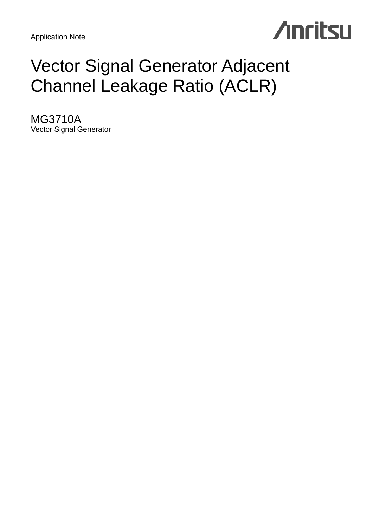Application Note



## Vector Signal Generator Adjacent Channel Leakage Ratio (ACLR)

MG3710A Vector Signal Generator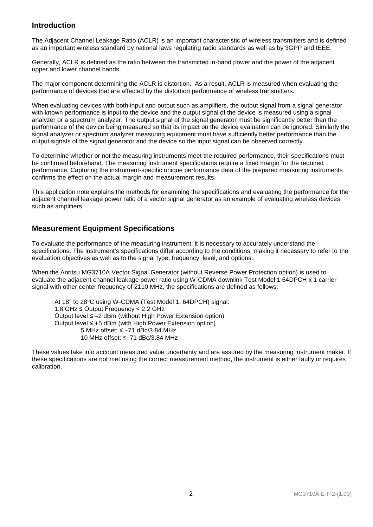## **Introduction**

The Adjacent Channel Leakage Ratio (ACLR) is an important characteristic of wireless transmitters and is defined as an important wireless standard by national laws regulating radio standards as well as by 3GPP and IEEE.

Generally, ACLR is defined as the ratio between the transmitted in-band power and the power of the adjacent upper and lower channel bands.

The major component determining the ACLR is distortion. As a result, ACLR is measured when evaluating the performance of devices that are affected by the distortion performance of wireless transmitters.

When evaluating devices with both input and output such as amplifiers, the output signal from a signal generator with known performance is input to the device and the output signal of the device is measured using a signal analyzer or a spectrum analyzer. The output signal of the signal generator must be significantly better than the performance of the device being measured so that its impact on the device evaluation can be ignored. Similarly the signal analyzer or spectrum analyzer measuring equipment must have sufficiently better performance than the output signals of the signal generator and the device so the input signal can be observed correctly.

To determine whether or not the measuring instruments meet the required performance, their specifications must be confirmed beforehand. The measuring instrument specifications require a fixed margin for the required performance. Capturing the instrument-specific unique performance data of the prepared measuring instruments confirms the effect on the actual margin and measurement results.

This application note explains the methods for examining the specifications and evaluating the performance for the adjacent channel leakage power ratio of a vector signal generator as an example of evaluating wireless devices such as amplifiers.

## **Measurement Equipment Specifications**

To evaluate the performance of the measuring instrument, it is necessary to accurately understand the specifications. The instrument's specifications differ according to the conditions, making it necessary to refer to the evaluation objectives as well as to the signal type, frequency, level, and options.

When the Anritsu MG3710A Vector Signal Generator (without Reverse Power Protection option) is used to evaluate the adjacent channel leakage power ratio using W-CDMA downlink Test Model 1 64DPCH x 1 carrier signal with other center frequency of 2110 MHz, the specifications are defined as follows:

At 18° to 28°C using W-CDMA (Test Model 1, 64DPCH) signal: 1.8 GHz ≤ Output Frequency < 2.2 GHz Output level ≤ –2 dBm (without High Power Extension option) Output level ≤ +5 dBm (with High Power Extension option) 5 MHz offset: ≤ –71 dBc/3.84 MHz 10 MHz offset: ≤–71 dBc/3.84 MHz

These values take into account measured value uncertainty and are assured by the measuring instrument maker. If these specifications are not met using the correct measurement method, the instrument is either faulty or requires calibration.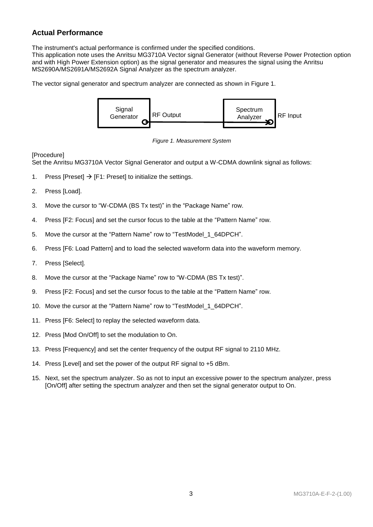## **Actual Performance**

The instrument's actual performance is confirmed under the specified conditions.

This application note uses the Anritsu MG3710A Vector signal Generator (without Reverse Power Protection option and with High Power Extension option) as the signal generator and measures the signal using the Anritsu MS2690A/MS2691A/MS2692A Signal Analyzer as the spectrum analyzer.

The vector signal generator and spectrum analyzer are connected as shown in Figure 1.



*Figure 1. Measurement System*

## **[Procedure]**

Set the Anritsu MG3710A Vector Signal Generator and output a W-CDMA downlink signal as follows:

- 1. Press [Preset]  $\rightarrow$  [F1: Preset] to initialize the settings.
- 2. Press [Load].
- 3. Move the cursor to "W-CDMA (BS Tx test)" in the "Package Name" row.
- 4. Press [F2: Focus] and set the cursor focus to the table at the "Pattern Name" row.
- 5. Move the cursor at the "Pattern Name" row to "TestModel\_1\_64DPCH".
- 6. Press [F6: Load Pattern] and to load the selected waveform data into the waveform memory.
- 7. Press [Select].
- 8. Move the cursor at the "Package Name" row to "W-CDMA (BS Tx test)".
- 9. Press [F2: Focus] and set the cursor focus to the table at the "Pattern Name" row.
- 10. Move the cursor at the "Pattern Name" row to "TestModel\_1\_64DPCH".
- 11. Press [F6: Select] to replay the selected waveform data.
- 12. Press [Mod On/Off] to set the modulation to On.
- 13. Press [Frequency] and set the center frequency of the output RF signal to 2110 MHz.
- 14. Press [Level] and set the power of the output RF signal to +5 dBm.
- 15. Next, set the spectrum analyzer. So as not to input an excessive power to the spectrum analyzer, press [On/Off] after setting the spectrum analyzer and then set the signal generator output to On.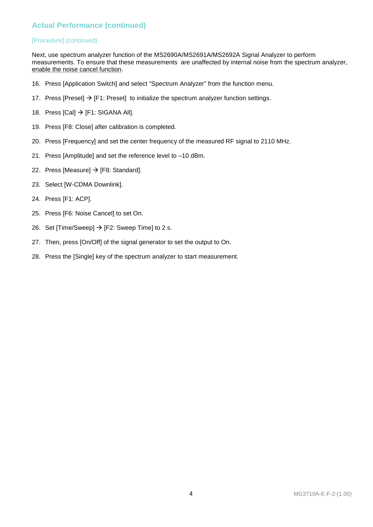## **Actual Performance (continued)**

## [Procedure] (continued)

Next, use spectrum analyzer function of the MS2690A/MS2691A/MS2692A Signal Analyzer to perform measurements. To ensure that these measurements are unaffected by internal noise from the spectrum analyzer, enable the noise cancel function.

- 16. Press [Application Switch] and select "Spectrum Analyzer" from the function menu.
- 17. Press  $[Present] \rightarrow [F1: Present]$  to initialize the spectrum analyzer function settings.
- 18. Press [Cal]  $\rightarrow$  [F1: SIGANA All].
- 19. Press [F8: Close] after calibration is completed.
- 20. Press [Frequency] and set the center frequency of the measured RF signal to 2110 MHz.
- 21. Press [Amplitude] and set the reference level to –10 dBm.
- 22. Press [Measure]  $\rightarrow$  [F8: Standard].
- 23. Select [W-CDMA Downlink].
- 24. Press [F1: ACP].
- 25. Press [F6: Noise Cancel] to set On.
- 26. Set [Time/Sweep]  $\rightarrow$  [F2: Sweep Time] to 2 s.
- 27. Then, press [On/Off] of the signal generator to set the output to On.
- 28. Press the [Single] key of the spectrum analyzer to start measurement.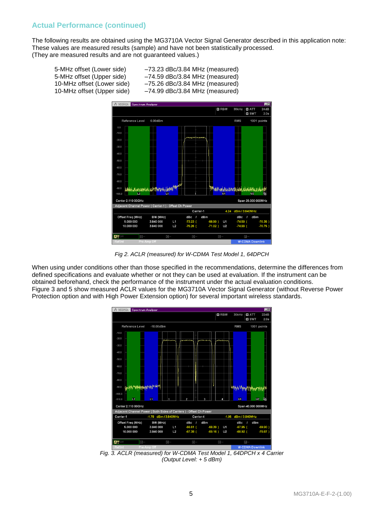## **Actual Performance (continued)**

The following results are obtained using the MG3710A Vector Signal Generator described in this application note: These values are measured results (sample) and have not been statistically processed. (They are measured results and are not guaranteed values.)

5-MHz offset (Lower side) -73.23 dBc/3.84 MHz (measured)<br>5-MHz offset (Upper side) -74.59 dBc/3.84 MHz (measured) 5-MHz offset (Upper side) -74.59 dBc/3.84 MHz (measured)<br>10-MHz offset (Lower side) -75.26 dBc/3.84 MHz (measured)  $-75.26$  dBc/3.84 MHz (measured) 10-MHz offset (Upper side) –74.99 dBc/3.84 MHz (measured)



*Fig 2. ACLR (measured) for W-CDMA Test Model 1, 64DPCH*

When using under conditions other than those specified in the recommendations, determine the differences from defined specifications and evaluate whether or not they can be used at evaluation. If the instrument can be obtained beforehand, check the performance of the instrument under the actual evaluation conditions. Figure 3 and 5 show measured ACLR values for the MG3710A Vector Signal Generator (without Reverse Power Protection option and with High Power Extension option) for several important wireless standards.



*Fig. 3. ACLR (measured) for W-CDMA Test Model 1, 64DPCH x 4 Carrier (Output Level: + 5 dBm)*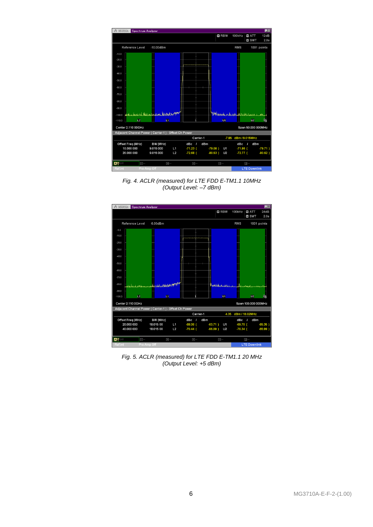| <b>M</b> RBW<br>100kHz<br>12dB<br><b>MATT</b><br><b>M</b> SWT<br>2.0s<br>Reference Level<br>$-10.00$ d $Bm$<br><b>RMS</b><br>1001 points<br>$-10.0$<br>$-20.0$<br>$-30.0$<br>$-40.0$<br>$-50.0$<br>$-60.0$<br>$-70.0$<br>$-80.0$<br>$-90.0$<br>Adel we have been deep to the first political<br>MMassachi naturalisabbanduhania<br>بالمسامعات مناصله<br>فتعماها أأألب ولم<br>$-100.0$<br>$\blacksquare$<br>$n_{\rm c}$<br>L2<br>$\overline{01}$<br>U <sub>2</sub><br>$-110.0$<br>Center 2.110 00GHz<br>Span 50.000 000MHz<br>Adjacent Channel Power ( Carrier-1 ) - Offset Ch Power<br>-7.85 dBm / 9.015MHz<br>Carrier-1<br>$\mathbf{I}$<br>Offset Freq (MHz)<br>BW (MHz)<br>dBc<br>I<br>dBm<br>dBc<br>dBm<br>$-71.86$ (<br>10.000 000<br>9.015 000<br>$-71.23$ (<br>L1<br>$-79.08$ )<br>U <sub>1</sub><br>$-79.71)$<br>20.000 000<br>9.015 000<br>L2<br>$-72.68$ (<br>$-80.53$ )<br>U <sub>2</sub><br>$-72.77$ (<br>$-80.62$ )<br>A型Off<br>$C -$<br>$\Box -$<br>$\Box$<br>$B -$<br>$\Box$<br><b>LTE Downlink</b><br>Pre-Amp Off<br><b>Ref.Int</b> | $\Lambda$ MS2692A | <b>Spectrum Analyzer</b> |  |  |  |  | $\Box$ o |
|----------------------------------------------------------------------------------------------------------------------------------------------------------------------------------------------------------------------------------------------------------------------------------------------------------------------------------------------------------------------------------------------------------------------------------------------------------------------------------------------------------------------------------------------------------------------------------------------------------------------------------------------------------------------------------------------------------------------------------------------------------------------------------------------------------------------------------------------------------------------------------------------------------------------------------------------------------------------------------------------------------------------------------------------------|-------------------|--------------------------|--|--|--|--|----------|
|                                                                                                                                                                                                                                                                                                                                                                                                                                                                                                                                                                                                                                                                                                                                                                                                                                                                                                                                                                                                                                                    |                   |                          |  |  |  |  |          |
|                                                                                                                                                                                                                                                                                                                                                                                                                                                                                                                                                                                                                                                                                                                                                                                                                                                                                                                                                                                                                                                    |                   |                          |  |  |  |  |          |
|                                                                                                                                                                                                                                                                                                                                                                                                                                                                                                                                                                                                                                                                                                                                                                                                                                                                                                                                                                                                                                                    |                   |                          |  |  |  |  |          |
|                                                                                                                                                                                                                                                                                                                                                                                                                                                                                                                                                                                                                                                                                                                                                                                                                                                                                                                                                                                                                                                    |                   |                          |  |  |  |  |          |
|                                                                                                                                                                                                                                                                                                                                                                                                                                                                                                                                                                                                                                                                                                                                                                                                                                                                                                                                                                                                                                                    |                   |                          |  |  |  |  |          |
|                                                                                                                                                                                                                                                                                                                                                                                                                                                                                                                                                                                                                                                                                                                                                                                                                                                                                                                                                                                                                                                    |                   |                          |  |  |  |  |          |
|                                                                                                                                                                                                                                                                                                                                                                                                                                                                                                                                                                                                                                                                                                                                                                                                                                                                                                                                                                                                                                                    |                   |                          |  |  |  |  |          |
|                                                                                                                                                                                                                                                                                                                                                                                                                                                                                                                                                                                                                                                                                                                                                                                                                                                                                                                                                                                                                                                    |                   |                          |  |  |  |  |          |
|                                                                                                                                                                                                                                                                                                                                                                                                                                                                                                                                                                                                                                                                                                                                                                                                                                                                                                                                                                                                                                                    |                   |                          |  |  |  |  |          |
|                                                                                                                                                                                                                                                                                                                                                                                                                                                                                                                                                                                                                                                                                                                                                                                                                                                                                                                                                                                                                                                    |                   |                          |  |  |  |  |          |
|                                                                                                                                                                                                                                                                                                                                                                                                                                                                                                                                                                                                                                                                                                                                                                                                                                                                                                                                                                                                                                                    |                   |                          |  |  |  |  |          |
|                                                                                                                                                                                                                                                                                                                                                                                                                                                                                                                                                                                                                                                                                                                                                                                                                                                                                                                                                                                                                                                    |                   |                          |  |  |  |  |          |
|                                                                                                                                                                                                                                                                                                                                                                                                                                                                                                                                                                                                                                                                                                                                                                                                                                                                                                                                                                                                                                                    |                   |                          |  |  |  |  |          |
|                                                                                                                                                                                                                                                                                                                                                                                                                                                                                                                                                                                                                                                                                                                                                                                                                                                                                                                                                                                                                                                    |                   |                          |  |  |  |  |          |
|                                                                                                                                                                                                                                                                                                                                                                                                                                                                                                                                                                                                                                                                                                                                                                                                                                                                                                                                                                                                                                                    |                   |                          |  |  |  |  |          |
|                                                                                                                                                                                                                                                                                                                                                                                                                                                                                                                                                                                                                                                                                                                                                                                                                                                                                                                                                                                                                                                    |                   |                          |  |  |  |  |          |
|                                                                                                                                                                                                                                                                                                                                                                                                                                                                                                                                                                                                                                                                                                                                                                                                                                                                                                                                                                                                                                                    |                   |                          |  |  |  |  |          |
|                                                                                                                                                                                                                                                                                                                                                                                                                                                                                                                                                                                                                                                                                                                                                                                                                                                                                                                                                                                                                                                    |                   |                          |  |  |  |  |          |
|                                                                                                                                                                                                                                                                                                                                                                                                                                                                                                                                                                                                                                                                                                                                                                                                                                                                                                                                                                                                                                                    |                   |                          |  |  |  |  |          |
|                                                                                                                                                                                                                                                                                                                                                                                                                                                                                                                                                                                                                                                                                                                                                                                                                                                                                                                                                                                                                                                    |                   |                          |  |  |  |  |          |
|                                                                                                                                                                                                                                                                                                                                                                                                                                                                                                                                                                                                                                                                                                                                                                                                                                                                                                                                                                                                                                                    |                   |                          |  |  |  |  |          |
|                                                                                                                                                                                                                                                                                                                                                                                                                                                                                                                                                                                                                                                                                                                                                                                                                                                                                                                                                                                                                                                    |                   |                          |  |  |  |  |          |
|                                                                                                                                                                                                                                                                                                                                                                                                                                                                                                                                                                                                                                                                                                                                                                                                                                                                                                                                                                                                                                                    |                   |                          |  |  |  |  |          |

*Fig. 4. ACLR (measured) for LTE FDD E-TM1.1 10MHz (Output Level: –7 dBm)*



*Fig. 5. ACLR (measured) for LTE FDD E-TM1.1 20 MHz (Output Level: +5 dBm)*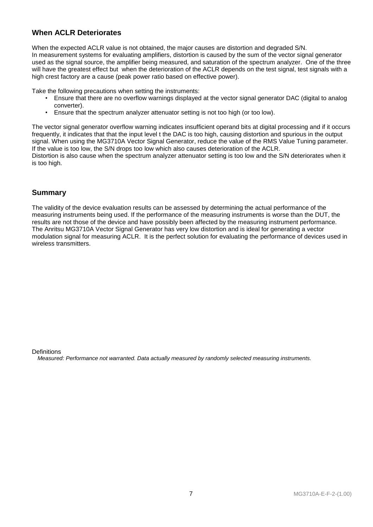## **When ACLR Deteriorates**

When the expected ACLR value is not obtained, the major causes are distortion and degraded S/N. In measurement systems for evaluating amplifiers, distortion is caused by the sum of the vector signal generator used as the signal source, the amplifier being measured, and saturation of the spectrum analyzer. One of the three will have the greatest effect but when the deterioration of the ACLR depends on the test signal, test signals with a high crest factory are a cause (peak power ratio based on effective power).

Take the following precautions when setting the instruments:

- Ensure that there are no overflow warnings displayed at the vector signal generator DAC (digital to analog converter).
- Ensure that the spectrum analyzer attenuator setting is not too high (or too low).

The vector signal generator overflow warning indicates insufficient operand bits at digital processing and if it occurs frequently, it indicates that that the input level t the DAC is too high, causing distortion and spurious in the output signal. When using the MG3710A Vector Signal Generator, reduce the value of the RMS Value Tuning parameter. If the value is too low, the S/N drops too low which also causes deterioration of the ACLR.

Distortion is also cause when the spectrum analyzer attenuator setting is too low and the S/N deteriorates when it is too high.

## **Summary**

The validity of the device evaluation results can be assessed by determining the actual performance of the measuring instruments being used. If the performance of the measuring instruments is worse than the DUT, the results are not those of the device and have possibly been affected by the measuring instrument performance. The Anritsu MG3710A Vector Signal Generator has very low distortion and is ideal for generating a vector modulation signal for measuring ACLR. It is the perfect solution for evaluating the performance of devices used in wireless transmitters.

**Definitions** 

*Measured: Performance not warranted. Data actually measured by randomly selected measuring instruments.*